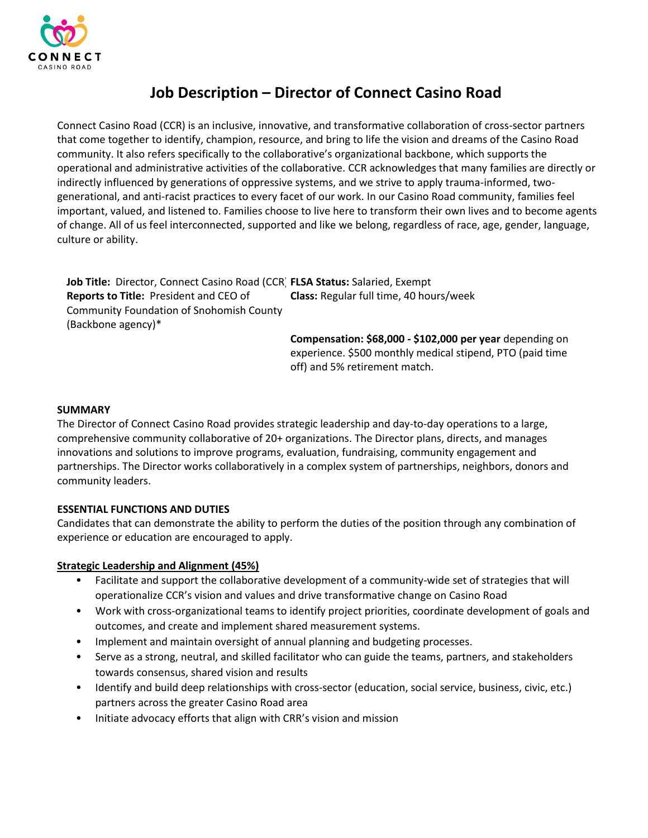

# **Job Description – Director of Connect Casino Road**

Connect Casino Road (CCR) is an inclusive, innovative, and transformative collaboration of cross-sector partners that come together to identify, champion, resource, and bring to life the vision and dreams of the Casino Road community. It also refers specifically to the collaborative's organizational backbone, which supports the operational and administrative activities of the collaborative. CCR acknowledges that many families are directly or indirectly influenced by generations of oppressive systems, and we strive to apply trauma-informed, twogenerational, and anti-racist practices to every facet of our work. In our Casino Road community, families feel important, valued, and listened to. Families choose to live here to transform their own lives and to become agents of change. All of us feel interconnected, supported and like we belong, regardless of race, age, gender, language, culture or ability.

**Job Title:** Director, Connect Casino Road (CCR) **FLSA Status:** Salaried, Exempt **Reports to Title:** President and CEO of Community Foundation of Snohomish County (Backbone agency)\* **Class:** Regular full time, 40 hours/week

> **Compensation: \$68,000 - \$102,000 per year** depending on experience. \$500 monthly medical stipend, PTO (paid time off) and 5% retirement match.

# **SUMMARY**

The Director of Connect Casino Road provides strategic leadership and day-to-day operations to a large, comprehensive community collaborative of 20+ organizations. The Director plans, directs, and manages innovations and solutions to improve programs, evaluation, fundraising, community engagement and partnerships. The Director works collaboratively in a complex system of partnerships, neighbors, donors and community leaders.

# **ESSENTIAL FUNCTIONS AND DUTIES**

Candidates that can demonstrate the ability to perform the duties of the position through any combination of experience or education are encouraged to apply.

### **Strategic Leadership and Alignment (45%)**

- Facilitate and support the collaborative development of a community-wide set of strategies that will operationalize CCR's vision and values and drive transformative change on Casino Road
- Work with cross-organizational teams to identify project priorities, coordinate development of goals and outcomes, and create and implement shared measurement systems.
- Implement and maintain oversight of annual planning and budgeting processes.
- Serve as a strong, neutral, and skilled facilitator who can guide the teams, partners, and stakeholders towards consensus, shared vision and results
- Identify and build deep relationships with cross-sector (education, social service, business, civic, etc.) partners across the greater Casino Road area
- Initiate advocacy efforts that align with CRR's vision and mission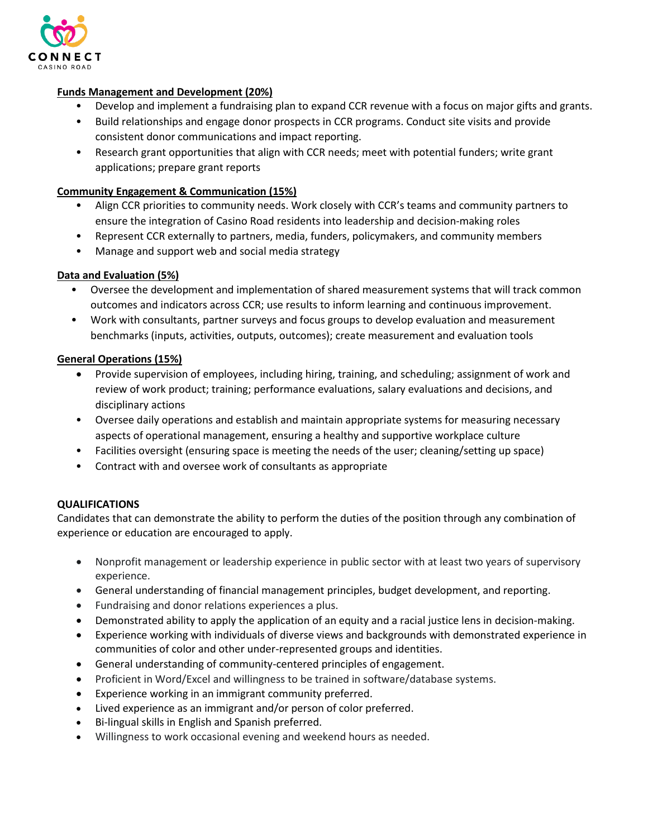

# **Funds Management and Development (20%)**

- Develop and implement a fundraising plan to expand CCR revenue with a focus on major gifts and grants.
- Build relationships and engage donor prospects in CCR programs. Conduct site visits and provide consistent donor communications and impact reporting.
- Research grant opportunities that align with CCR needs; meet with potential funders; write grant applications; prepare grant reports

# **Community Engagement & Communication (15%)**

- Align CCR priorities to community needs. Work closely with CCR's teams and community partners to ensure the integration of Casino Road residents into leadership and decision-making roles
- Represent CCR externally to partners, media, funders, policymakers, and community members
- Manage and support web and social media strategy

# **Data and Evaluation (5%)**

- Oversee the development and implementation of shared measurement systems that will track common outcomes and indicators across CCR; use results to inform learning and continuous improvement.
- Work with consultants, partner surveys and focus groups to develop evaluation and measurement benchmarks (inputs, activities, outputs, outcomes); create measurement and evaluation tools

# **General Operations (15%)**

- Provide supervision of employees, including hiring, training, and scheduling; assignment of work and review of work product; training; performance evaluations, salary evaluations and decisions, and disciplinary actions
- Oversee daily operations and establish and maintain appropriate systems for measuring necessary aspects of operational management, ensuring a healthy and supportive workplace culture
- Facilities oversight (ensuring space is meeting the needs of the user; cleaning/setting up space)
- Contract with and oversee work of consultants as appropriate

# **QUALIFICATIONS**

Candidates that can demonstrate the ability to perform the duties of the position through any combination of experience or education are encouraged to apply.

- Nonprofit management or leadership experience in public sector with at least two years of supervisory experience.
- General understanding of financial management principles, budget development, and reporting.
- Fundraising and donor relations experiences a plus.
- Demonstrated ability to apply the application of an equity and a racial justice lens in decision-making.
- Experience working with individuals of diverse views and backgrounds with demonstrated experience in communities of color and other under-represented groups and identities.
- General understanding of community-centered principles of engagement.
- Proficient in Word/Excel and willingness to be trained in software/database systems.
- Experience working in an immigrant community preferred.
- Lived experience as an immigrant and/or person of color preferred.
- Bi-lingual skills in English and Spanish preferred.
- Willingness to work occasional evening and weekend hours as needed.